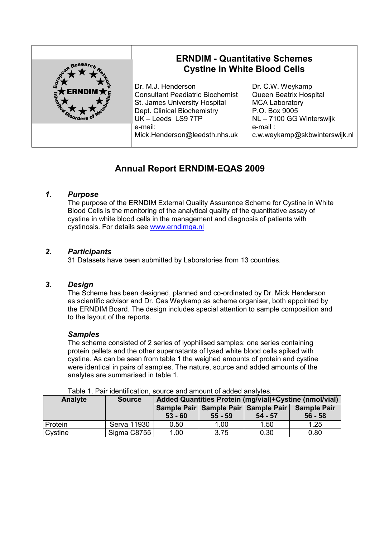

# **Annual Report ERNDIM-EQAS 2009**

## *1. Purpose*

The purpose of the ERNDIM External Quality Assurance Scheme for Cystine in White Blood Cells is the monitoring of the analytical quality of the quantitative assay of cystine in white blood cells in the management and diagnosis of patients with cystinosis. For details see www.erndimqa.nl

## *2. Participants*

31 Datasets have been submitted by Laboratories from 13 countries.

## *3. Design*

The Scheme has been designed, planned and co-ordinated by Dr. Mick Henderson as scientific advisor and Dr. Cas Weykamp as scheme organiser, both appointed by the ERNDIM Board. The design includes special attention to sample composition and to the layout of the reports.

#### *Samples*

The scheme consisted of 2 series of lyophilised samples: one series containing protein pellets and the other supernatants of lysed white blood cells spiked with cystine. As can be seen from table 1 the weighed amounts of protein and cystine were identical in pairs of samples. The nature, source and added amounts of the analytes are summarised in table 1.

| Table T. Fail Identification. Source and amount of added analytes. |               |                                                        |                                                      |           |                                 |
|--------------------------------------------------------------------|---------------|--------------------------------------------------------|------------------------------------------------------|-----------|---------------------------------|
| Analyte                                                            | <b>Source</b> | Added Quantities Protein (mg/vial)+Cystine (nmol/vial) |                                                      |           |                                 |
|                                                                    |               | $53 - 60$                                              | Sample Pair   Sample Pair   Sample Pair<br>$55 - 59$ | $54 - 57$ | <b>Sample Pair</b><br>$56 - 58$ |
| Protein                                                            | Serva 11930   | 0.50                                                   | 1.00                                                 | 1.50      | 1.25                            |
| Cystine                                                            | Sigma C8755   | 1.00                                                   | 3.75                                                 | 0.30      | 0.80                            |

Table 1. Pair identification, source and amount of added analytes.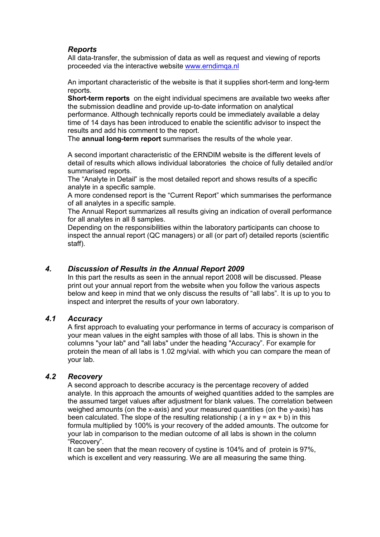## *Reports*

All data-transfer, the submission of data as well as request and viewing of reports proceeded via the interactive website www.erndimqa.nl

An important characteristic of the website is that it supplies short-term and long-term reports.

**Short-term reports** on the eight individual specimens are available two weeks after the submission deadline and provide up-to-date information on analytical performance. Although technically reports could be immediately available a delay time of 14 days has been introduced to enable the scientific advisor to inspect the results and add his comment to the report.

The **annual long-term report** summarises the results of the whole year.

A second important characteristic of the ERNDIM website is the different levels of detail of results which allows individual laboratories the choice of fully detailed and/or summarised reports.

The "Analyte in Detail" is the most detailed report and shows results of a specific analyte in a specific sample.

A more condensed report is the "Current Report" which summarises the performance of all analytes in a specific sample.

The Annual Report summarizes all results giving an indication of overall performance for all analytes in all 8 samples.

Depending on the responsibilities within the laboratory participants can choose to inspect the annual report (QC managers) or all (or part of) detailed reports (scientific staff).

## *4. Discussion of Results in the Annual Report 2009*

In this part the results as seen in the annual report 2008 will be discussed. Please print out your annual report from the website when you follow the various aspects below and keep in mind that we only discuss the results of "all labs". It is up to you to inspect and interpret the results of your own laboratory.

### *4.1 Accuracy*

A first approach to evaluating your performance in terms of accuracy is comparison of your mean values in the eight samples with those of all labs. This is shown in the columns "your lab" and "all labs" under the heading "Accuracy". For example for protein the mean of all labs is 1.02 mg/vial. with which you can compare the mean of your lab.

#### *4.2 Recovery*

A second approach to describe accuracy is the percentage recovery of added analyte. In this approach the amounts of weighed quantities added to the samples are the assumed target values after adjustment for blank values. The correlation between weighed amounts (on the x-axis) and your measured quantities (on the y-axis) has been calculated. The slope of the resulting relationship (  $a$  in  $y = ax + b$ ) in this formula multiplied by 100% is your recovery of the added amounts. The outcome for your lab in comparison to the median outcome of all labs is shown in the column "Recovery".

It can be seen that the mean recovery of cystine is 104% and of protein is 97%, which is excellent and very reassuring. We are all measuring the same thing.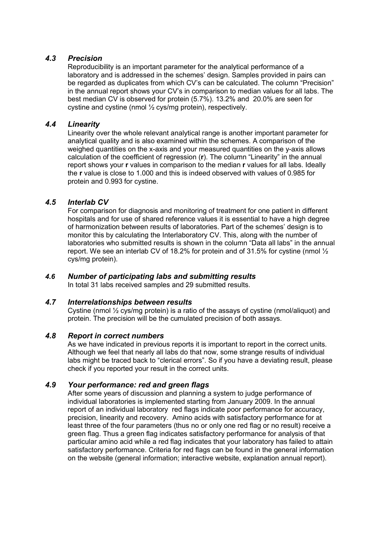## *4.3 Precision*

Reproducibility is an important parameter for the analytical performance of a laboratory and is addressed in the schemes' design. Samples provided in pairs can be regarded as duplicates from which CV's can be calculated. The column "Precision" in the annual report shows your CV's in comparison to median values for all labs. The best median CV is observed for protein (5.7%). 13.2% and 20.0% are seen for cystine and cystine (nmol ½ cys/mg protein), respectively.

## *4.4 Linearity*

Linearity over the whole relevant analytical range is another important parameter for analytical quality and is also examined within the schemes. A comparison of the weighed quantities on the x-axis and your measured quantities on the y-axis allows calculation of the coefficient of regression (**r**). The column "Linearity" in the annual report shows your **r** values in comparison to the median **r** values for all labs. Ideally the **r** value is close to 1.000 and this is indeed observed with values of 0.985 for protein and 0.993 for cystine.

## *4.5 Interlab CV*

For comparison for diagnosis and monitoring of treatment for one patient in different hospitals and for use of shared reference values it is essential to have a high degree of harmonization between results of laboratories. Part of the schemes' design is to monitor this by calculating the Interlaboratory CV. This, along with the number of laboratories who submitted results is shown in the column "Data all labs" in the annual report. We see an interlab CV of 18.2% for protein and of 31.5% for cystine (nmol  $\frac{1}{2}$ ) cys/mg protein).

## *4.6 Number of participating labs and submitting results*

In total 31 labs received samples and 29 submitted results.

#### *4.7 Interrelationships between results*

Cystine (nmol ½ cys/mg protein) is a ratio of the assays of cystine (nmol/aliquot) and protein. The precision will be the cumulated precision of both assays.

#### *4.8 Report in correct numbers*

As we have indicated in previous reports it is important to report in the correct units. Although we feel that nearly all labs do that now, some strange results of individual labs might be traced back to "clerical errors". So if you have a deviating result, please check if you reported your result in the correct units.

## *4.9 Your performance: red and green flags*

After some years of discussion and planning a system to judge performance of individual laboratories is implemented starting from January 2009. In the annual report of an individual laboratory red flags indicate poor performance for accuracy, precision, linearity and recovery. Amino acids with satisfactory performance for at least three of the four parameters (thus no or only one red flag or no result) receive a green flag. Thus a green flag indicates satisfactory performance for analysis of that particular amino acid while a red flag indicates that your laboratory has failed to attain satisfactory performance. Criteria for red flags can be found in the general information on the website (general information; interactive website, explanation annual report).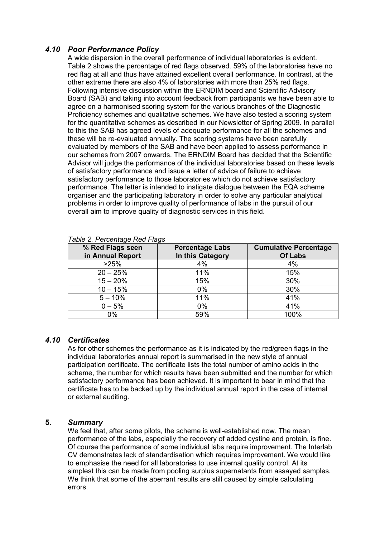## *4.10 Poor Performance Policy*

A wide dispersion in the overall performance of individual laboratories is evident. Table 2 shows the percentage of red flags observed. 59% of the laboratories have no red flag at all and thus have attained excellent overall performance. In contrast, at the other extreme there are also 4% of laboratories with more than 25% red flags. Following intensive discussion within the ERNDIM board and Scientific Advisory Board (SAB) and taking into account feedback from participants we have been able to agree on a harmonised scoring system for the various branches of the Diagnostic Proficiency schemes and qualitative schemes. We have also tested a scoring system for the quantitative schemes as described in our Newsletter of Spring 2009. In parallel to this the SAB has agreed levels of adequate performance for all the schemes and these will be re-evaluated annually. The scoring systems have been carefully evaluated by members of the SAB and have been applied to assess performance in our schemes from 2007 onwards. The ERNDIM Board has decided that the Scientific Advisor will judge the performance of the individual laboratories based on these levels of satisfactory performance and issue a letter of advice of failure to achieve satisfactory performance to those laboratories which do not achieve satisfactory performance. The letter is intended to instigate dialogue between the EQA scheme organiser and the participating laboratory in order to solve any particular analytical problems in order to improve quality of performance of labs in the pursuit of our overall aim to improve quality of diagnostic services in this field.

| % Red Flags seen<br>in Annual Report | <b>Percentage Labs</b><br>In this Category | <b>Cumulative Percentage</b><br><b>Of Labs</b> |
|--------------------------------------|--------------------------------------------|------------------------------------------------|
| >25%                                 | 4%                                         | 4%                                             |
| $20 - 25%$                           | 11%                                        | 15%                                            |
| $15 - 20%$                           | 15%                                        | 30%                                            |
| $10 - 15%$                           | 0%                                         | 30%                                            |
| $5 - 10%$                            | 11%                                        | 41%                                            |
| $0 - 5%$                             | 0%                                         | 41%                                            |
| $0\%$                                | 59%                                        | 100%                                           |

#### *Table 2. Percentage Red Flags*

#### *4.10 Certificates*

As for other schemes the performance as it is indicated by the red/green flags in the individual laboratories annual report is summarised in the new style of annual participation certificate. The certificate lists the total number of amino acids in the scheme, the number for which results have been submitted and the number for which satisfactory performance has been achieved. It is important to bear in mind that the certificate has to be backed up by the individual annual report in the case of internal or external auditing.

#### **5.** *Summary*

We feel that, after some pilots, the scheme is well-established now. The mean performance of the labs, especially the recovery of added cystine and protein, is fine. Of course the performance of some individual labs require improvement. The Interlab CV demonstrates lack of standardisation which requires improvement. We would like to emphasise the need for all laboratories to use internal quality control. At its simplest this can be made from pooling surplus supernatants from assayed samples. We think that some of the aberrant results are still caused by simple calculating errors.